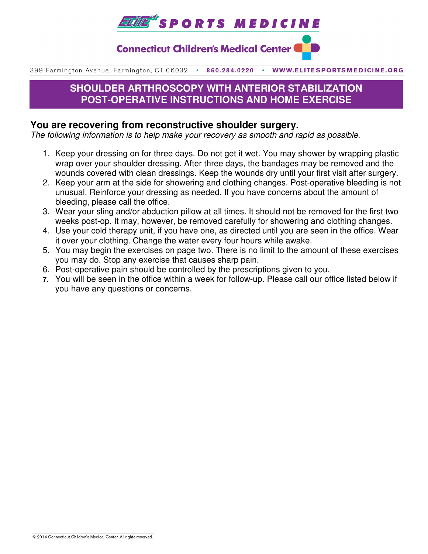

**Connecticut Children's Medical Center (** 

399 Farmington Avenue, Farmington, CT 06032 . 860.284.0220 WWW.ELITESPORTSMEDICINE.ORG

# **SHOULDER ARTHROSCOPY WITH ANTERIOR STABILIZATION POST-OPERATIVE INSTRUCTIONS AND HOME EXERCISE**

### **You are recovering from reconstructive shoulder surgery.**

The following information is to help make your recovery as smooth and rapid as possible.

- 1. Keep your dressing on for three days. Do not get it wet. You may shower by wrapping plastic wrap over your shoulder dressing. After three days, the bandages may be removed and the wounds covered with clean dressings. Keep the wounds dry until your first visit after surgery.
- 2. Keep your arm at the side for showering and clothing changes. Post-operative bleeding is not unusual. Reinforce your dressing as needed. If you have concerns about the amount of bleeding, please call the office.
- 3. Wear your sling and/or abduction pillow at all times. It should not be removed for the first two weeks post-op. It may, however, be removed carefully for showering and clothing changes.
- 4. Use your cold therapy unit, if you have one, as directed until you are seen in the office. Wear it over your clothing. Change the water every four hours while awake.
- 5. You may begin the exercises on page two. There is no limit to the amount of these exercises you may do. Stop any exercise that causes sharp pain.
- 6. Post-operative pain should be controlled by the prescriptions given to you.
- **7.** You will be seen in the office within a week for follow-up. Please call our office listed below if you have any questions or concerns.